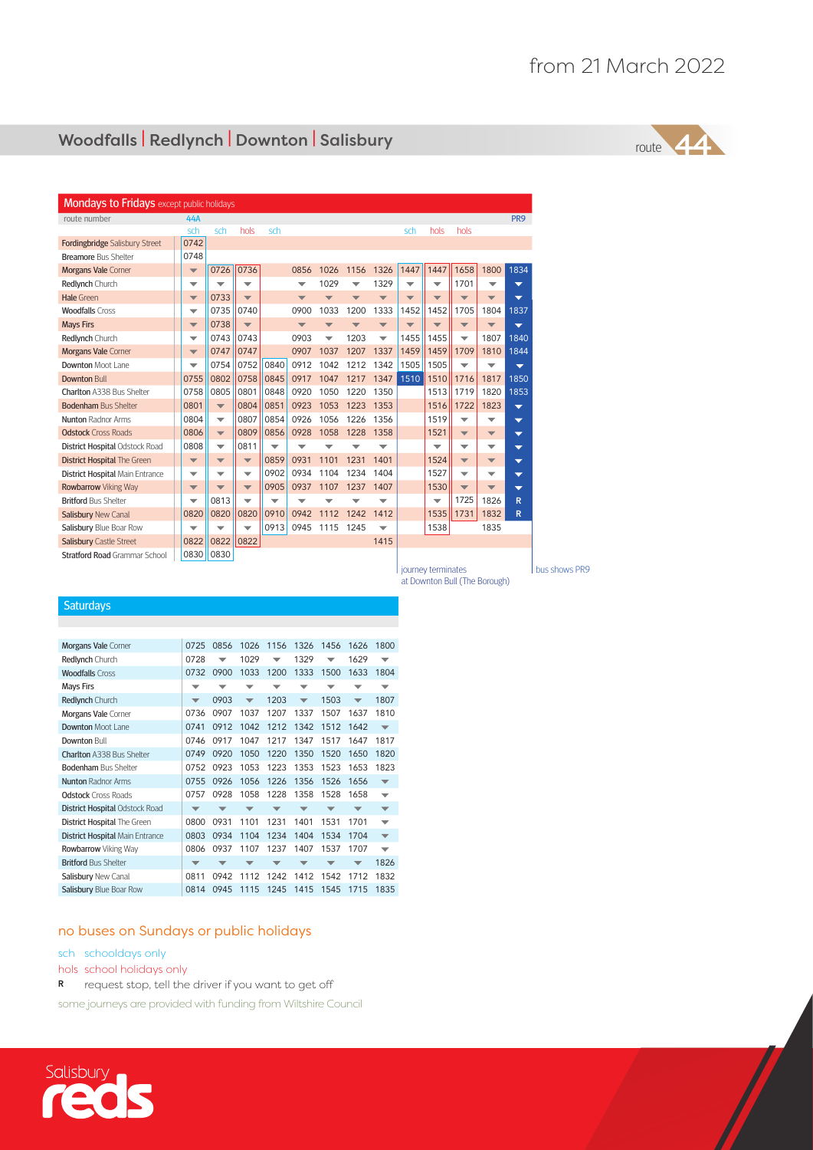## Woodfalls | Redlynch | Downton | Salisbury

route

 $\sqrt{2}$ 

| <b>Mondays to Fridays</b> except public holidays |                          |                          |                          |                          |                          |                          |                          |                          |                          |                          |                          |                          |                          |
|--------------------------------------------------|--------------------------|--------------------------|--------------------------|--------------------------|--------------------------|--------------------------|--------------------------|--------------------------|--------------------------|--------------------------|--------------------------|--------------------------|--------------------------|
| route number                                     | 44A                      |                          |                          |                          |                          |                          |                          |                          |                          |                          |                          |                          | PR <sub>9</sub>          |
|                                                  | sch                      | sch                      | hols                     | sch                      |                          |                          |                          |                          | sch                      | hols                     | hols                     |                          |                          |
| <b>Fordingbridge Salisbury Street</b>            | 0742                     |                          |                          |                          |                          |                          |                          |                          |                          |                          |                          |                          |                          |
| <b>Breamore Bus Shelter</b>                      | 0748                     |                          |                          |                          |                          |                          |                          |                          |                          |                          |                          |                          |                          |
| <b>Morgans Vale Corner</b>                       | $\overline{\mathbf{v}}$  | 0726                     | 0736                     |                          | 0856                     | 1026                     | 1156                     | 1326                     | 1447                     | 1447                     | 1658                     | 1800                     | 1834                     |
| Redlynch Church                                  | $\checkmark$             | $\checkmark$             | $\checkmark$             |                          | $\overline{\phantom{a}}$ | 1029                     | ▽                        | 1329                     | ▽                        | ▼                        | 1701                     | ▽                        | $\overline{\phantom{a}}$ |
| Hale Green                                       | $\overline{\mathbf{v}}$  | 0733                     | $\overline{\phantom{0}}$ |                          | $\overline{\phantom{a}}$ | $\overline{\phantom{a}}$ | $\overline{\phantom{a}}$ | $\overline{\phantom{a}}$ | $\overline{\phantom{a}}$ | $\overline{\phantom{a}}$ | $\overline{\phantom{a}}$ | $\overline{\phantom{a}}$ | $\overline{\phantom{0}}$ |
| <b>Woodfalls Cross</b>                           | ▼                        | 0735                     | 0740                     |                          | 0900                     | 1033                     | 1200                     | 1333                     | 1452                     | 1452                     | 1705                     | 1804                     | 1837                     |
| <b>Mays Firs</b>                                 | $\overline{\mathbf{v}}$  | 0738                     | $\overline{\phantom{0}}$ |                          | $\overline{\phantom{a}}$ | $\overline{\phantom{a}}$ | $\overline{\phantom{a}}$ | $\overline{\phantom{a}}$ | $\overline{\phantom{a}}$ | $\overline{\phantom{a}}$ | $\overline{\phantom{a}}$ | $\overline{\phantom{a}}$ | $\overline{\phantom{0}}$ |
| Redlynch Church                                  | $\overline{\phantom{a}}$ | 0743                     | 0743                     |                          | 0903                     | ▼                        | 1203                     | ▼                        | 1455                     | 1455                     | ▼                        | 1807                     | 1840                     |
| <b>Morgans Vale Corner</b>                       | ▼                        | 0747                     | 0747                     |                          | 0907                     | 1037                     | 1207                     | 1337                     | 1459                     | 1459                     | 1709                     | 1810                     | 1844                     |
| <b>Downton Moot Lane</b>                         | $\checkmark$             | 0754                     | 0752                     | 0840                     | 0912                     | 1042                     | 1212                     | 1342                     | 1505                     | 1505                     | ▼                        | ▼                        | $\overline{\mathbf{v}}$  |
| <b>Downton Bull</b>                              | 0755                     | 0802                     | 0758                     | 0845                     | 0917                     | 1047                     | 1217 1347                |                          | 1510                     | 1510                     | 1716                     | 1817                     | 1850                     |
| Charlton A338 Bus Shelter                        | 0758                     | 0805                     | 0801                     | 0848                     | 0920                     | 1050                     | 1220                     | 1350                     |                          | 1513                     | 1719                     | 1820                     | 1853                     |
| <b>Bodenham Bus Shelter</b>                      | 0801                     | $\overline{\phantom{a}}$ | 0804                     | 0851                     | 0923                     | 1053                     | 1223                     | 1353                     |                          | 1516                     | 1722                     | 1823                     | $\overline{\phantom{0}}$ |
| <b>Nunton Radnor Arms</b>                        | 0804                     | $\overline{\phantom{0}}$ | 0807                     | 0854                     | 0926                     | 1056                     | 1226                     | 1356                     |                          | 1519                     | ▼                        | ▼                        | $\overline{\phantom{0}}$ |
| <b>Odstock Cross Roads</b>                       | 0806                     | $\overline{\phantom{a}}$ | 0809                     | 0856                     | 0928                     | 1058                     | 1228                     | 1358                     |                          | 1521                     | $\overline{\phantom{a}}$ | $\overline{\phantom{a}}$ | $\overline{\phantom{0}}$ |
| <b>District Hospital Odstock Road</b>            | 0808                     | $\overline{\phantom{0}}$ | 0811                     | $\overline{\phantom{0}}$ | ▼                        |                          |                          | ▼                        |                          | $\overline{\phantom{0}}$ | ▼                        | $\blacktriangledown$     | $\overline{\phantom{0}}$ |
| <b>District Hospital The Green</b>               | $\overline{\mathbf{v}}$  | $\blacktriangledown$     | $\overline{\phantom{a}}$ | 0859                     | 0931                     | 1101                     | 1231                     | 1401                     |                          | 1524                     | $\overline{\phantom{a}}$ | $\overline{\phantom{a}}$ | $\overline{\phantom{0}}$ |
| <b>District Hospital Main Entrance</b>           | ▼                        | $\overline{\phantom{0}}$ | $\overline{\phantom{0}}$ | 0902                     | 0934                     | 1104                     | 1234                     | 1404                     |                          | 1527                     | $\overline{\phantom{0}}$ | ▼                        | $\overline{\phantom{0}}$ |
| <b>Rowbarrow</b> Viking Way                      | $\overline{\mathbf{v}}$  | $\overline{\mathbf{v}}$  | $\overline{\phantom{a}}$ | 0905                     | 0937                     | 1107                     | 1237                     | 1407                     |                          | 1530                     | $\overline{\phantom{a}}$ | $\overline{\phantom{a}}$ | $\overline{\phantom{0}}$ |
| <b>Britford Bus Shelter</b>                      | ▼                        | 0813                     | ▼                        | ▼                        |                          |                          |                          |                          |                          | $\overline{\mathbf{v}}$  | 1725                     | 1826                     | R                        |
| <b>Salisbury New Canal</b>                       | 0820                     | 0820                     | 0820                     | 0910                     | 0942                     | 1112                     | 1242                     | 1412                     |                          | 1535                     | 1731                     | 1832                     | $\mathbb{R}$             |
| Salisbury Blue Boar Row                          | $\overline{\phantom{0}}$ | ▼                        | $\overline{\phantom{0}}$ | 0913                     | 0945                     | 1115                     | 1245                     | $\overline{\phantom{0}}$ |                          | 1538                     |                          | 1835                     |                          |
| <b>Salisbury Castle Street</b>                   | 0822                     | 0822                     | 0822                     |                          |                          |                          |                          | 1415                     |                          |                          |                          |                          |                          |
| <b>Stratford Road Grammar School</b>             | 0830                     | 0830                     |                          |                          |                          |                          |                          |                          |                          |                          |                          |                          |                          |
|                                                  |                          |                          |                          |                          |                          |                          |                          |                          |                          | journey terminates       |                          |                          |                          |

journey terminates at Downton Bull (The Borough)

**Saturdays** 

| <b>Morgans Vale Corner</b>             | 0725                     | 0856                     | 1026                     | 1156                     | 1326                     | 1456                     | 1626                     | 1800                     |
|----------------------------------------|--------------------------|--------------------------|--------------------------|--------------------------|--------------------------|--------------------------|--------------------------|--------------------------|
| Redlynch Church                        | 0728                     |                          | 1029                     |                          | 1329                     |                          | 1629                     | $\overline{\phantom{a}}$ |
| <b>Woodfalls Cross</b>                 | 0732                     | 0900                     | 1033                     | 1200                     | 1333                     | 1500                     | 1633                     | 1804                     |
| <b>Mays Firs</b>                       | $\overline{\phantom{0}}$ | ╺                        | $\overline{\phantom{0}}$ | ▽                        | $\overline{\phantom{0}}$ | $\overline{\phantom{a}}$ | $\overline{\phantom{0}}$ | $\overline{\phantom{0}}$ |
| <b>Redlynch Church</b>                 | $\overline{\phantom{a}}$ | 0903                     | $\overline{\phantom{a}}$ | 1203                     | $\overline{\phantom{a}}$ | 1503                     | ▼                        | 1807                     |
| <b>Morgans Vale Corner</b>             | 0736                     | 0907                     | 1037                     | 1207                     | 1337                     | 1507                     | 1637                     | 1810                     |
| <b>Downton Moot Lane</b>               | 0741                     | 0912                     | 1042                     | 1212                     | 1342                     | 1512                     | 1642                     | $\overline{\phantom{0}}$ |
| Downton Bull                           | 0746                     | 0917                     | 1047                     | 1217                     | 1347                     | 1517                     | 1647                     | 1817                     |
| <b>Charlton A338 Bus Shelter</b>       | 0749                     | 0920                     | 1050                     | 1220                     | 1350                     | 1520                     | 1650                     | 1820                     |
| <b>Bodenham Bus Shelter</b>            | 0752                     | 0923                     | 1053                     | 1223                     | 1353                     | 1523                     | 1653                     | 1823                     |
| <b>Nunton Radnor Arms</b>              | 0755                     | 0926                     | 1056                     | 1226                     | 1356                     | 1526                     | 1656                     | $\overline{\phantom{a}}$ |
| <b>Odstock Cross Roads</b>             | 0757                     | 0928                     | 1058                     | 1228                     | 1358                     | 1528                     | 1658                     | $\overline{\mathbf{v}}$  |
| <b>District Hospital Odstock Road</b>  | $\overline{\phantom{a}}$ | $\overline{\phantom{a}}$ | ▼                        | ▼                        | ▼                        | ▼                        | ▼                        | $\blacktriangledown$     |
| <b>District Hospital The Green</b>     | 0800                     | 0931                     | 1101                     | 1231                     | 1401                     | 1531                     | 1701                     | $\overline{\phantom{a}}$ |
| <b>District Hospital Main Entrance</b> | 0803                     | 0934                     | 1104                     | 1234                     | 1404                     | 1534                     | 1704                     | $\overline{\phantom{a}}$ |
| Rowbarrow Viking Way                   | 0806                     | 0937                     | 1107                     | 1237                     | 1407                     | 1537                     | 1707                     | $\overline{\phantom{a}}$ |
| <b>Britford Bus Shelter</b>            | $\overline{\phantom{0}}$ | ▼                        | ┳                        | $\overline{\phantom{a}}$ | ▼                        | $\overline{\phantom{a}}$ | ▼                        | 1826                     |
| Salisbury New Canal                    | 0811                     | 0942                     | 1112                     | 1242                     | 1412                     | 1542                     | 1712                     | 1832                     |
| Salisbury Blue Boar Row                | 0814                     | 0945                     | 1115                     | 1245                     | 1415                     | 1545                     | 1715                     | 1835                     |

## no buses on Sundays or public holidays

sch schooldays only

hols school holidays only

R request stop, tell the driver if you want to get off

some journeys are provided with funding from Wiltshire Council